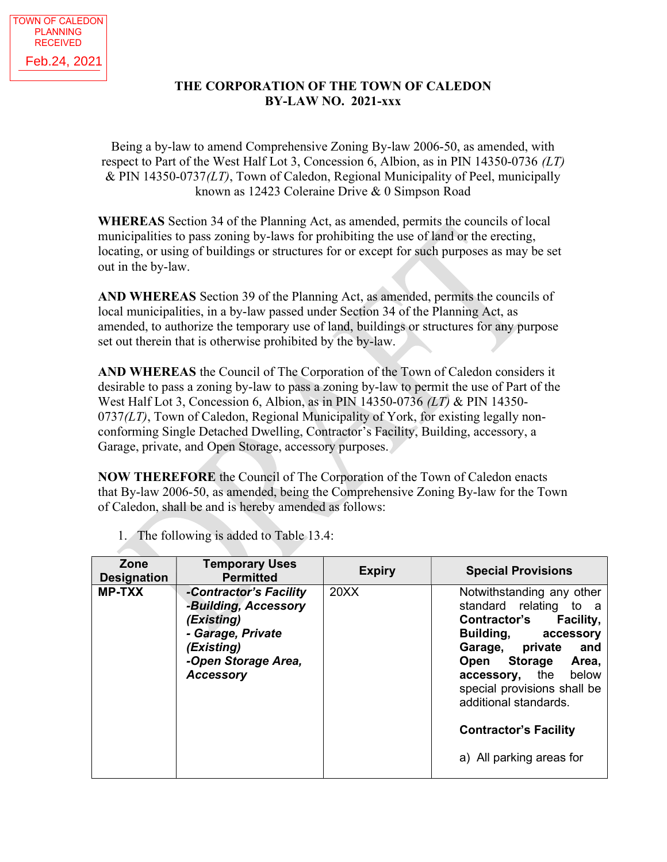## THE CORPORATION OF THE TOWN OF CALEDON BY-LAW NO. 2021-xxx

Being a by-law to amend Comprehensive Zoning By-law 2006-50, as amended, with respect to Part of the West Half Lot 3, Concession 6, Albion, as in PIN 14350-0736 (LT)  $&$  PIN 14350-0737( $LT$ ), Town of Caledon, Regional Municipality of Peel, municipally known as 12423 Coleraine Drive & 0 Simpson Road

WHEREAS Section 34 of the Planning Act, as amended, permits the councils of local municipalities to pass zoning by-laws for prohibiting the use of land or the erecting, locating, or using of buildings or structures for or except for such purposes as may be set out in the by-law.

AND WHEREAS Section 39 of the Planning Act, as amended, permits the councils of local municipalities, in a by-law passed under Section 34 of the Planning Act, as amended, to authorize the temporary use of land, buildings or structures for any purpose set out therein that is otherwise prohibited by the by-law.

AND WHEREAS the Council of The Corporation of the Town of Caledon considers it desirable to pass a zoning by-law to pass a zoning by-law to permit the use of Part of the West Half Lot 3, Concession 6, Albion, as in PIN 14350-0736 (LT) & PIN 14350-  $0737(L)$ , Town of Caledon, Regional Municipality of York, for existing legally nonconforming Single Detached Dwelling, Contractor's Facility, Building, accessory, a Garage, private, and Open Storage, accessory purposes.

NOW THEREFORE the Council of The Corporation of the Town of Caledon enacts that By-law 2006-50, as amended, being the Comprehensive Zoning By-law for the Town of Caledon, shall be and is hereby amended as follows:

| Zone<br><b>Designation</b> | <b>Temporary Uses</b><br><b>Permitted</b>                                                                                                  | <b>Expiry</b> | <b>Special Provisions</b>                                                                                                                                                                                                                                                                           |
|----------------------------|--------------------------------------------------------------------------------------------------------------------------------------------|---------------|-----------------------------------------------------------------------------------------------------------------------------------------------------------------------------------------------------------------------------------------------------------------------------------------------------|
| <b>MP-TXX</b>              | -Contractor's Facility<br>-Building, Accessory<br>(Existing)<br>- Garage, Private<br>(Existing)<br>-Open Storage Area,<br><b>Accessory</b> | 20XX          | Notwithstanding any other<br>standard relating to a<br>Contractor's Facility,<br>Building, accessory<br>Garage, private<br>and<br>Open Storage<br>Area,<br>accessory, the below<br>special provisions shall be<br>additional standards.<br><b>Contractor's Facility</b><br>a) All parking areas for |

1. The following is added to Table 13.4: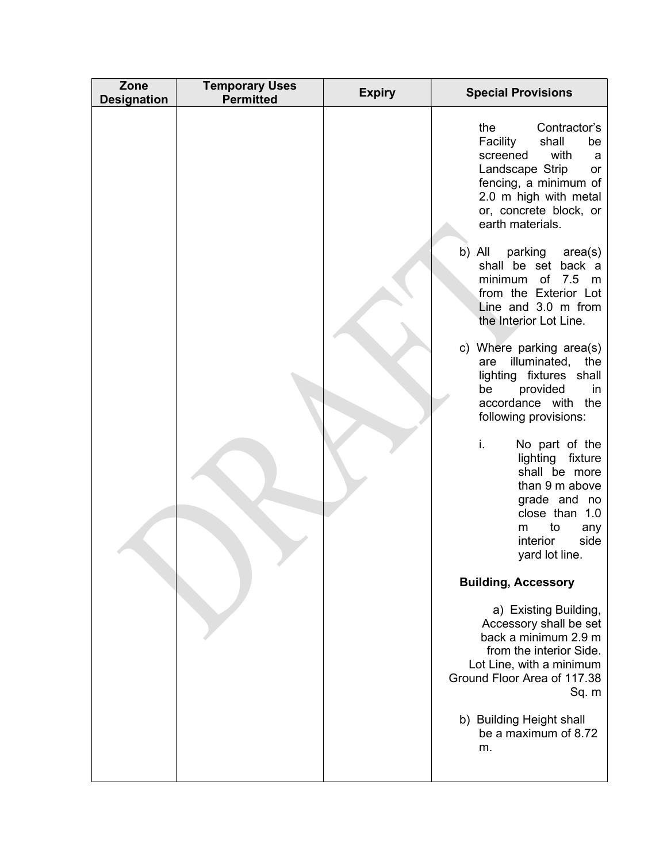| Zone<br><b>Designation</b> | <b>Temporary Uses</b><br><b>Permitted</b> | <b>Expiry</b> | <b>Special Provisions</b>                                                                                                                                                                                                                                                                                                                                                                                                                                                                                                                                                                                                                                                                                                                                                                                                                                                                                                                                     |
|----------------------------|-------------------------------------------|---------------|---------------------------------------------------------------------------------------------------------------------------------------------------------------------------------------------------------------------------------------------------------------------------------------------------------------------------------------------------------------------------------------------------------------------------------------------------------------------------------------------------------------------------------------------------------------------------------------------------------------------------------------------------------------------------------------------------------------------------------------------------------------------------------------------------------------------------------------------------------------------------------------------------------------------------------------------------------------|
|                            |                                           |               | Contractor's<br>the<br>Facility<br>shall<br>be<br>with<br>screened<br>a<br>Landscape Strip<br>or<br>fencing, a minimum of<br>2.0 m high with metal<br>or, concrete block, or<br>earth materials.<br>b) All<br>parking area(s)<br>shall be set back a<br>minimum of 7.5 m<br>from the Exterior Lot<br>Line and 3.0 m from<br>the Interior Lot Line.<br>c) Where parking area(s)<br>illuminated,<br>the<br>are<br>lighting fixtures shall<br>provided<br>be<br>in<br>accordance with the<br>following provisions:<br>i.<br>No part of the<br>lighting<br>fixture<br>shall be more<br>than 9 m above<br>grade and no<br>close than 1.0<br>to<br>m<br>any<br>side<br>interior<br>yard lot line.<br><b>Building, Accessory</b><br>a) Existing Building,<br>Accessory shall be set<br>back a minimum 2.9 m<br>from the interior Side.<br>Lot Line, with a minimum<br>Ground Floor Area of 117.38<br>Sq. m<br>b) Building Height shall<br>be a maximum of 8.72<br>m. |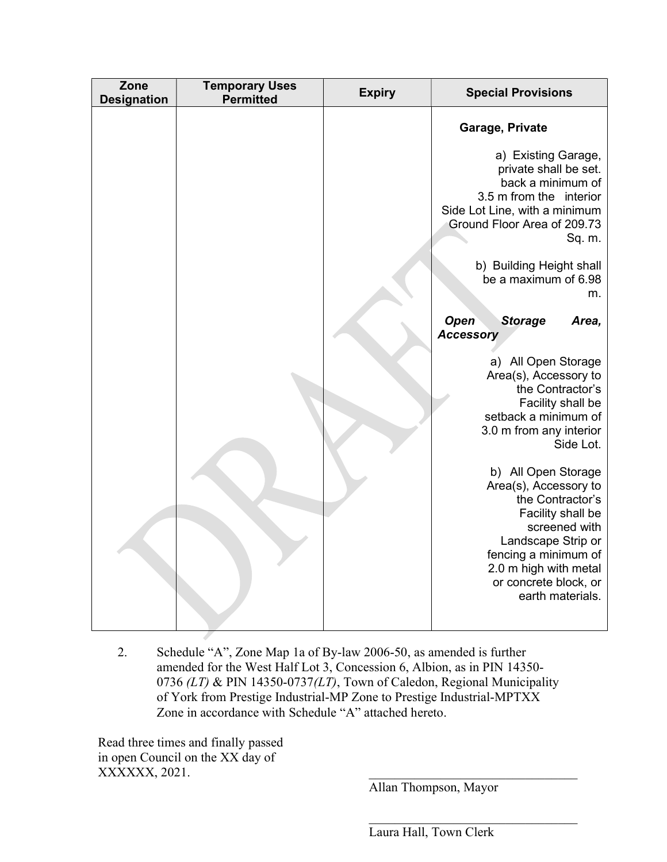| Zone<br><b>Temporary Uses</b><br><b>Expiry</b><br><b>Special Provisions</b><br><b>Permitted</b><br><b>Designation</b>                                                                                                                                                                                                                                                                                                                                                                                                                                                                                                                                       |
|-------------------------------------------------------------------------------------------------------------------------------------------------------------------------------------------------------------------------------------------------------------------------------------------------------------------------------------------------------------------------------------------------------------------------------------------------------------------------------------------------------------------------------------------------------------------------------------------------------------------------------------------------------------|
| Garage, Private<br>a) Existing Garage,<br>private shall be set.<br>back a minimum of<br>3.5 m from the interior<br>Side Lot Line, with a minimum<br>Ground Floor Area of 209.73<br>Sq. m.<br>b) Building Height shall<br>be a maximum of 6.98<br>m.<br><b>Open</b><br><b>Storage</b><br>Area,<br><b>Accessory</b><br>a) All Open Storage<br>Area(s), Accessory to<br>the Contractor's<br>Facility shall be<br>setback a minimum of<br>3.0 m from any interior<br>Side Lot.<br>b) All Open Storage<br>Area(s), Accessory to<br>the Contractor's<br>Facility shall be<br>screened with<br>Landscape Strip or<br>fencing a minimum of<br>2.0 m high with metal |

2. Schedule "A", Zone Map 1a of By-law 2006-50, as amended is further amended for the West Half Lot 3, Concession 6, Albion, as in PIN 14350- 0736 (LT) & PIN 14350-0737(LT), Town of Caledon, Regional Municipality of York from Prestige Industrial-MP Zone to Prestige Industrial-MPTXX Zone in accordance with Schedule "A" attached hereto.

Read three times and finally passed in open Council on the XX day of XXXXXX, 2021.

Allan Thompson, Mayor

Laura Hall, Town Clerk